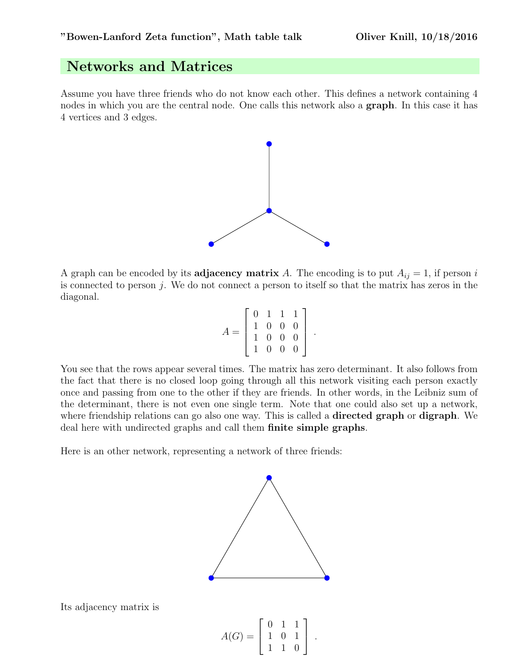## Networks and Matrices

Assume you have three friends who do not know each other. This defines a network containing 4 nodes in which you are the central node. One calls this network also a **graph**. In this case it has 4 vertices and 3 edges.



A graph can be encoded by its **adjacency matrix** A. The encoding is to put  $A_{ij} = 1$ , if person i is connected to person  $j$ . We do not connect a person to itself so that the matrix has zeros in the diagonal.

|  |  | $\begin{array}{cccc} 0 & 1 & 1 \\ 1 & 0 & 0 \\ 1 & 0 & 0 \\ 1 & 0 & 0 \end{array}$ | $\mathbf{1}$   |  |
|--|--|------------------------------------------------------------------------------------|----------------|--|
|  |  |                                                                                    | $\overline{0}$ |  |
|  |  |                                                                                    | $\overline{0}$ |  |
|  |  |                                                                                    |                |  |

You see that the rows appear several times. The matrix has zero determinant. It also follows from the fact that there is no closed loop going through all this network visiting each person exactly once and passing from one to the other if they are friends. In other words, in the Leibniz sum of the determinant, there is not even one single term. Note that one could also set up a network, where friendship relations can go also one way. This is called a **directed graph** or **digraph**. We deal here with undirected graphs and call them finite simple graphs.

Here is an other network, representing a network of three friends:



Its adjacency matrix is

$$
A(G) = \left[ \begin{array}{rrr} 0 & 1 & 1 \\ 1 & 0 & 1 \\ 1 & 1 & 0 \end{array} \right] .
$$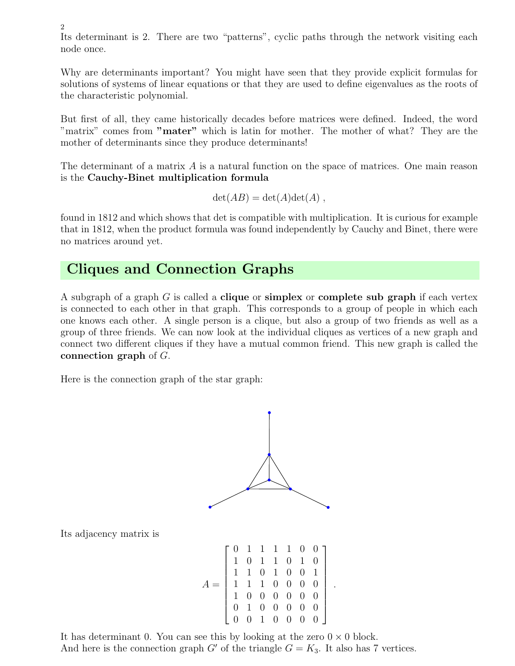Its determinant is 2. There are two "patterns", cyclic paths through the network visiting each node once.

Why are determinants important? You might have seen that they provide explicit formulas for solutions of systems of linear equations or that they are used to define eigenvalues as the roots of the characteristic polynomial.

But first of all, they came historically decades before matrices were defined. Indeed, the word "matrix" comes from "**mater**" which is latin for mother. The mother of what? They are the mother of determinants since they produce determinants!

The determinant of a matrix  $A$  is a natural function on the space of matrices. One main reason is the Cauchy-Binet multiplication formula

$$
\det(AB) = \det(A)\det(A) ,
$$

found in 1812 and which shows that det is compatible with multiplication. It is curious for example that in 1812, when the product formula was found independently by Cauchy and Binet, there were no matrices around yet.

### Cliques and Connection Graphs

A subgraph of a graph  $G$  is called a **clique** or **simplex** or **complete sub graph** if each vertex is connected to each other in that graph. This corresponds to a group of people in which each one knows each other. A single person is a clique, but also a group of two friends as well as a group of three friends. We can now look at the individual cliques as vertices of a new graph and connect two different cliques if they have a mutual common friend. This new graph is called the connection graph of G.

Here is the connection graph of the star graph:



Its adjacency matrix is

2

| $\begin{array}{cccccccc} 0& 1& 1& 1& 1& 0& 0\\ 1& 0& 1& 1& 0& 1& 0\\ 1& 1& 0& 1& 0& 0& 1\\ 1& 1& 1& 0& 0& 0& 0\\ 1& 0& 0& 0& 0& 0& 0\\ 0& 1& 0& 0& 0& 0& 0\\ 0& 0& 1& 0& 0& 0& 0 \end{array}$ |  |  |  |
|-----------------------------------------------------------------------------------------------------------------------------------------------------------------------------------------------|--|--|--|
|                                                                                                                                                                                               |  |  |  |
|                                                                                                                                                                                               |  |  |  |
|                                                                                                                                                                                               |  |  |  |

.

It has determinant 0. You can see this by looking at the zero  $0 \times 0$  block. And here is the connection graph G' of the triangle  $G = K_3$ . It also has 7 vertices.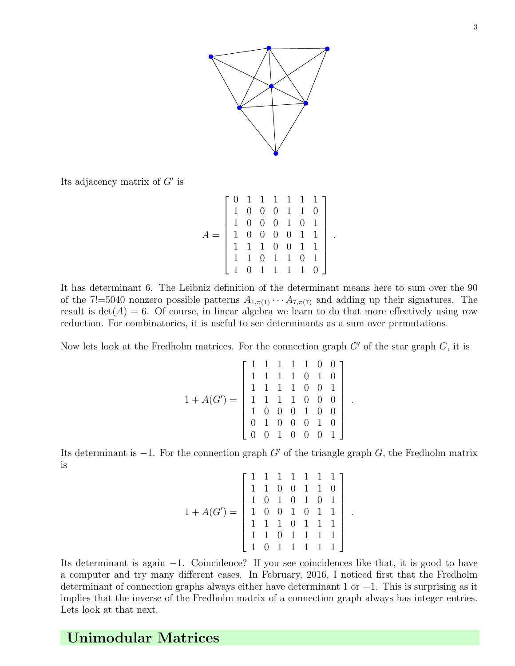

Its adjacency matrix of  $G'$  is

$$
A = \left[\begin{array}{ccccccc} 0 & 1 & 1 & 1 & 1 & 1 & 1 \\ 1 & 0 & 0 & 0 & 1 & 1 & 0 \\ 1 & 0 & 0 & 0 & 1 & 0 & 1 \\ 1 & 0 & 0 & 0 & 0 & 1 & 1 \\ 1 & 1 & 1 & 0 & 0 & 1 & 1 \\ 1 & 1 & 0 & 1 & 1 & 0 & 1 \\ 1 & 0 & 1 & 1 & 1 & 1 & 0 \end{array}\right]
$$

.

.

.

It has determinant 6. The Leibniz definition of the determinant means here to sum over the 90 of the 7!=5040 nonzero possible patterns  $A_{1,\pi(1)} \cdots A_{7,\pi(7)}$  and adding up their signatures. The result is  $det(A) = 6$ . Of course, in linear algebra we learn to do that more effectively using row reduction. For combinatorics, it is useful to see determinants as a sum over permutations.

Now lets look at the Fredholm matrices. For the connection graph  $G'$  of the star graph  $G$ , it is

$$
1 + A(G') = \begin{bmatrix} 1 & 1 & 1 & 1 & 1 & 0 & 0 \\ 1 & 1 & 1 & 1 & 0 & 1 & 0 \\ 1 & 1 & 1 & 1 & 0 & 0 & 1 \\ 1 & 1 & 1 & 1 & 0 & 0 & 0 \\ 1 & 0 & 0 & 0 & 1 & 0 & 0 \\ 0 & 1 & 0 & 0 & 0 & 1 & 0 \\ 0 & 0 & 1 & 0 & 0 & 0 & 1 \end{bmatrix}
$$

Its determinant is  $-1$ . For the connection graph G' of the triangle graph G, the Fredholm matrix is

$$
1 + A(G') = \begin{bmatrix} 1 & 1 & 1 & 1 & 1 & 1 & 1 \\ 1 & 1 & 0 & 0 & 1 & 1 & 0 \\ 1 & 0 & 1 & 0 & 1 & 0 & 1 \\ 1 & 0 & 0 & 1 & 0 & 1 & 1 \\ 1 & 1 & 1 & 0 & 1 & 1 & 1 \\ 1 & 1 & 0 & 1 & 1 & 1 & 1 \end{bmatrix}
$$

Its determinant is again −1. Coincidence? If you see coincidences like that, it is good to have a computer and try many different cases. In February, 2016, I noticed first that the Fredholm determinant of connection graphs always either have determinant 1 or −1. This is surprising as it implies that the inverse of the Fredholm matrix of a connection graph always has integer entries. Lets look at that next.

# Unimodular Matrices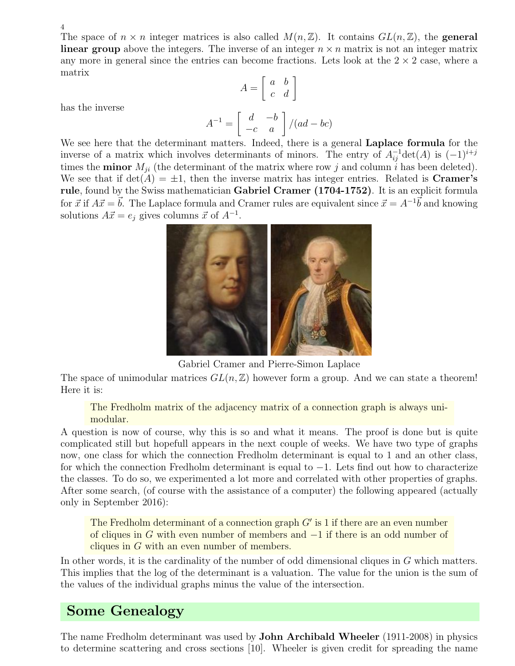4

The space of  $n \times n$  integer matrices is also called  $M(n, \mathbb{Z})$ . It contains  $GL(n, \mathbb{Z})$ , the **general linear group** above the integers. The inverse of an integer  $n \times n$  matrix is not an integer matrix any more in general since the entries can become fractions. Lets look at the  $2 \times 2$  case, where a matrix

$$
A = \left[ \begin{array}{cc} a & b \\ c & d \end{array} \right]
$$

has the inverse

$$
A^{-1} = \begin{bmatrix} d & -b \\ -c & a \end{bmatrix} / (ad - bc)
$$

We see here that the determinant matters. Indeed, there is a general **Laplace formula** for the inverse of a matrix which involves determinants of minors. The entry of  $A_{ij}^{-1}$  det(A) is  $(-1)^{i+j}$ times the **minor**  $M_{ji}$  (the determinant of the matrix where row j and column i has been deleted). We see that if  $\det(A) = \pm 1$ , then the inverse matrix has integer entries. Related is **Cramer's** rule, found by the Swiss mathematician Gabriel Cramer (1704-1752). It is an explicit formula for  $\vec{x}$  if  $A\vec{x} = \vec{b}$ . The Laplace formula and Cramer rules are equivalent since  $\vec{x} = A^{-1}\vec{b}$  and knowing solutions  $A\vec{x} = e_j$  gives columns  $\vec{x}$  of  $A^{-1}$ .



Gabriel Cramer and Pierre-Simon Laplace

The space of unimodular matrices  $GL(n, \mathbb{Z})$  however form a group. And we can state a theorem! Here it is:

The Fredholm matrix of the adjacency matrix of a connection graph is always unimodular.

A question is now of course, why this is so and what it means. The proof is done but is quite complicated still but hopefull appears in the next couple of weeks. We have two type of graphs now, one class for which the connection Fredholm determinant is equal to 1 and an other class, for which the connection Fredholm determinant is equal to −1. Lets find out how to characterize the classes. To do so, we experimented a lot more and correlated with other properties of graphs. After some search, (of course with the assistance of a computer) the following appeared (actually only in September 2016):

The Fredholm determinant of a connection graph  $G'$  is 1 if there are an even number of cliques in G with even number of members and −1 if there is an odd number of cliques in G with an even number of members.

In other words, it is the cardinality of the number of odd dimensional cliques in G which matters. This implies that the log of the determinant is a valuation. The value for the union is the sum of the values of the individual graphs minus the value of the intersection.

# Some Genealogy

The name Fredholm determinant was used by John Archibald Wheeler (1911-2008) in physics to determine scattering and cross sections [10]. Wheeler is given credit for spreading the name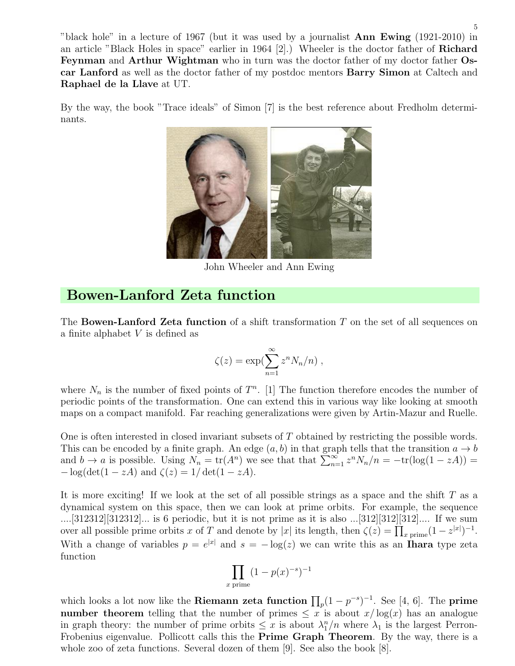"black hole" in a lecture of 1967 (but it was used by a journalist Ann Ewing (1921-2010) in an article "Black Holes in space" earlier in 1964 [2].) Wheeler is the doctor father of Richard Feynman and Arthur Wightman who in turn was the doctor father of my doctor father Oscar Lanford as well as the doctor father of my postdoc mentors Barry Simon at Caltech and Raphael de la Llave at UT.

By the way, the book "Trace ideals" of Simon [7] is the best reference about Fredholm determinants.



John Wheeler and Ann Ewing

### Bowen-Lanford Zeta function

The **Bowen-Lanford Zeta function** of a shift transformation  $T$  on the set of all sequences on a finite alphabet  $V$  is defined as

$$
\zeta(z) = \exp(\sum_{n=1}^{\infty} z^n N_n/n) ,
$$

where  $N_n$  is the number of fixed points of  $T^n$ . [1] The function therefore encodes the number of periodic points of the transformation. One can extend this in various way like looking at smooth maps on a compact manifold. Far reaching generalizations were given by Artin-Mazur and Ruelle.

One is often interested in closed invariant subsets of T obtained by restricting the possible words. This can be encoded by a finite graph. An edge  $(a, b)$  in that graph tells that the transition  $a \rightarrow b$ and  $b \to a$  is possible. Using  $N_n = \text{tr}(A^n)$  we see that that  $\sum_{n=1}^{\infty} z^n N_n/n = -\text{tr}(\log(1 - zA)) =$  $-\log(\det(1 - zA)$  and  $\zeta(z) = 1/\det(1 - zA)$ .

It is more exciting! If we look at the set of all possible strings as a space and the shift  $T$  as a dynamical system on this space, then we can look at prime orbits. For example, the sequence ....[312312][312312]... is 6 periodic, but it is not prime as it is also ...[312][312][312].... If we sum over all possible prime orbits x of T and denote by |x| its length, then  $\zeta(z) = \prod_{x \text{ prime}} (1 - z^{|x|})^{-1}$ . With a change of variables  $p = e^{|x|}$  and  $s = -\log(z)$  we can write this as an **Ihara** type zeta function

$$
\prod_{x \text{ prime}} (1 - p(x)^{-s})^{-1}
$$

which looks a lot now like the **Riemann zeta function**  $\prod_p (1 - p^{-s})^{-1}$ . See [4, 6]. The **prime** number theorem telling that the number of primes  $\leq x$  is about  $x/\log(x)$  has an analogue in graph theory: the number of prime orbits  $\leq x$  is about  $\lambda_1^n/n$  where  $\lambda_1$  is the largest Perron-Frobenius eigenvalue. Pollicott calls this the Prime Graph Theorem. By the way, there is a whole zoo of zeta functions. Several dozen of them [9]. See also the book [8].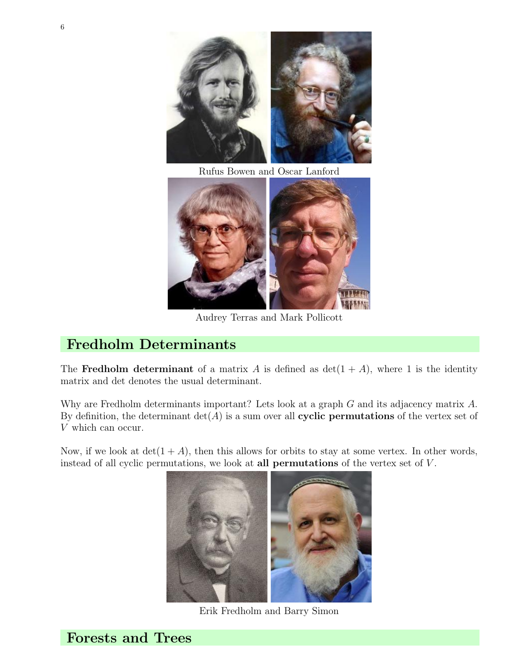

Rufus Bowen and Oscar Lanford



Audrey Terras and Mark Pollicott

# Fredholm Determinants

The Fredholm determinant of a matrix A is defined as  $\det(1+A)$ , where 1 is the identity matrix and det denotes the usual determinant.

Why are Fredholm determinants important? Lets look at a graph G and its adjacency matrix A. By definition, the determinant  $det(A)$  is a sum over all **cyclic permutations** of the vertex set of V which can occur.

Now, if we look at  $det(1+A)$ , then this allows for orbits to stay at some vertex. In other words, instead of all cyclic permutations, we look at all **permutations** of the vertex set of  $V$ .



Erik Fredholm and Barry Simon

6

Forests and Trees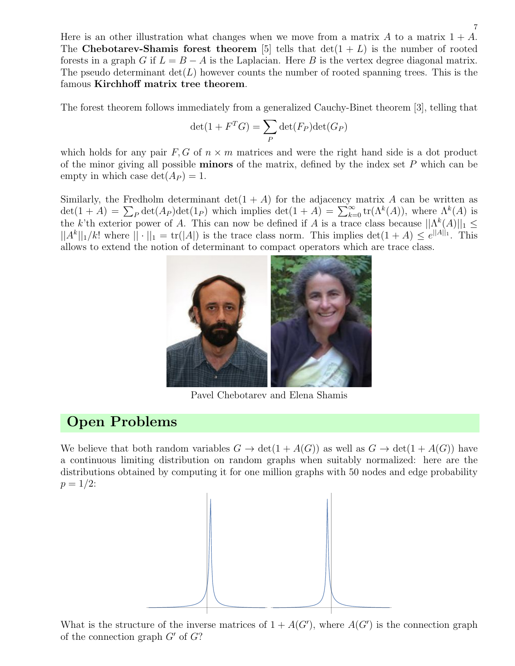Here is an other illustration what changes when we move from a matrix  $A$  to a matrix  $1 + A$ . The Chebotarev-Shamis forest theorem [5] tells that  $\det(1+L)$  is the number of rooted forests in a graph G if  $L = B - A$  is the Laplacian. Here B is the vertex degree diagonal matrix. The pseudo determinant  $\det(L)$  however counts the number of rooted spanning trees. This is the famous Kirchhoff matrix tree theorem.

The forest theorem follows immediately from a generalized Cauchy-Binet theorem [3], telling that

$$
\det(1 + F^T G) = \sum_P \det(F_P) \det(G_P)
$$

which holds for any pair  $F, G$  of  $n \times m$  matrices and were the right hand side is a dot product of the minor giving all possible **minors** of the matrix, defined by the index set  $P$  which can be empty in which case  $\det(A_P) = 1$ .

Similarly, the Fredholm determinant  $\det(1 + A)$  for the adjacency matrix A can be written as  $\det(1+A) = \sum_P \det(A_P) \det(1_P)$  which implies  $\det(1+A) = \sum_{k=0}^{\infty} \text{tr}(\Lambda^k(A))$ , where  $\Lambda^k(A)$  is the k'th exterior power of A. This can now be defined if A is a trace class because  $||\Lambda^k(A)||_1 \le$  $||A^k||_1/k!$  where  $||\cdot||_1 = \text{tr}(|A|)$  is the trace class norm. This implies  $\det(1+A) \leq e^{\|A\|_1}$ . This allows to extend the notion of determinant to compact operators which are trace class.



Pavel Chebotarev and Elena Shamis

### Open Problems

We believe that both random variables  $G \to det(1 + A(G))$  as well as  $G \to det(1 + A(G))$  have a continuous limiting distribution on random graphs when suitably normalized: here are the distributions obtained by computing it for one million graphs with 50 nodes and edge probability  $p = 1/2$ :



What is the structure of the inverse matrices of  $1 + A(G')$ , where  $A(G')$  is the connection graph of the connection graph  $G'$  of  $G$ ?